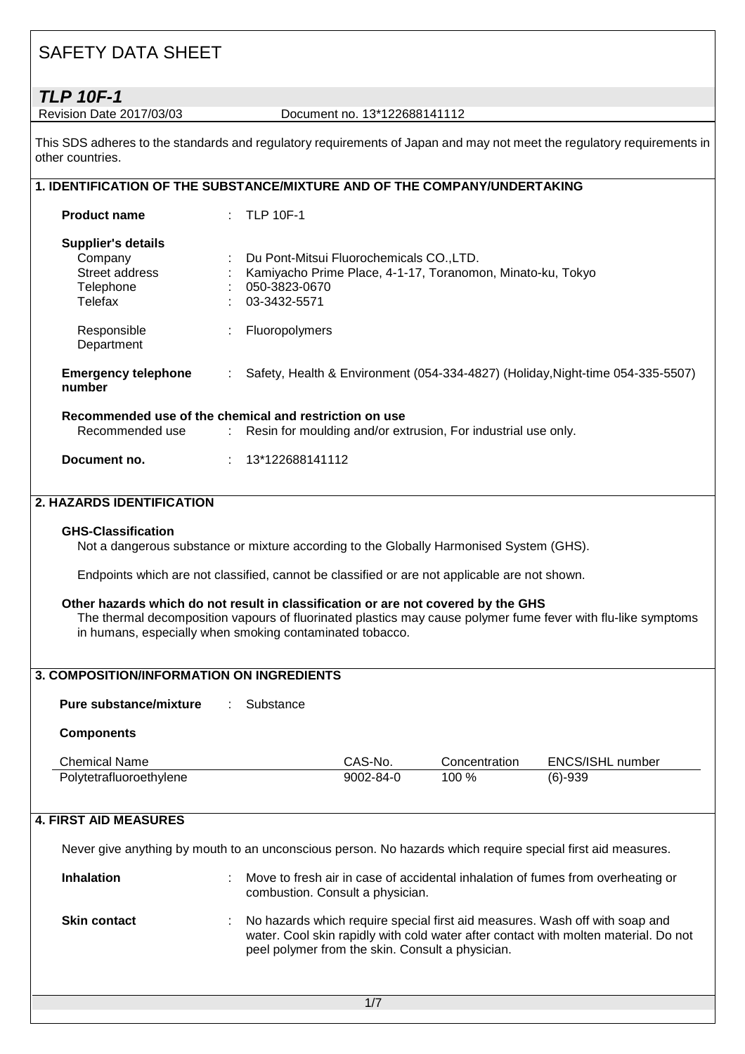**TLP 10F-1**<br>Revision Date 2017/03/03

Document no. 13\*122688141112

This SDS adheres to the standards and regulatory requirements of Japan and may not meet the regulatory requirements in other countries.

| 1. IDENTIFICATION OF THE SUBSTANCE/MIXTURE AND OF THE COMPANY/UNDERTAKING      |  |                                                                                                                                         |
|--------------------------------------------------------------------------------|--|-----------------------------------------------------------------------------------------------------------------------------------------|
| <b>Product name</b>                                                            |  | $:$ TLP 10F-1                                                                                                                           |
| <b>Supplier's details</b><br>Company<br>Street address<br>Telephone<br>Telefax |  | Du Pont-Mitsui Fluorochemicals CO., LTD.<br>Kamiyacho Prime Place, 4-1-17, Toranomon, Minato-ku, Tokyo<br>050-3823-0670<br>03-3432-5571 |
| Responsible<br>Department                                                      |  | Fluoropolymers                                                                                                                          |
| <b>Emergency telephone</b><br>number                                           |  | : Safety, Health & Environment (054-334-4827) (Holiday, Night-time 054-335-5507)                                                        |
| Recommended use                                                                |  | Recommended use of the chemical and restriction on use<br>: Resin for moulding and/or extrusion, For industrial use only.               |
| Document no.                                                                   |  | 13*122688141112                                                                                                                         |

#### **2. HAZARDS IDENTIFICATION**

#### **GHS-Classification**

Not a dangerous substance or mixture according to the Globally Harmonised System (GHS).

Endpoints which are not classified, cannot be classified or are not applicable are not shown.

#### **Other hazards which do not result in classification or are not covered by the GHS**

The thermal decomposition vapours of fluorinated plastics may cause polymer fume fever with flu-like symptoms in humans, especially when smoking contaminated tobacco.

### **3. COMPOSITION/INFORMATION ON INGREDIENTS**

**Pure substance/mixture** : Substance

#### **Components**

| Chemical Name           | CAS-No.   | Concentration | ENCS/ISHL number |
|-------------------------|-----------|---------------|------------------|
| Polytetrafluoroethylene | 9002-84-0 | 100 %         | $(6)-939$        |

#### **4. FIRST AID MEASURES**

Never give anything by mouth to an unconscious person. No hazards which require special first aid measures.

| <b>Inhalation</b>   | ÷  | Move to fresh air in case of accidental inhalation of fumes from overheating or<br>combustion. Consult a physician.                                                                                                    |
|---------------------|----|------------------------------------------------------------------------------------------------------------------------------------------------------------------------------------------------------------------------|
| <b>Skin contact</b> | ÷. | No hazards which require special first aid measures. Wash off with soap and<br>water. Cool skin rapidly with cold water after contact with molten material. Do not<br>peel polymer from the skin. Consult a physician. |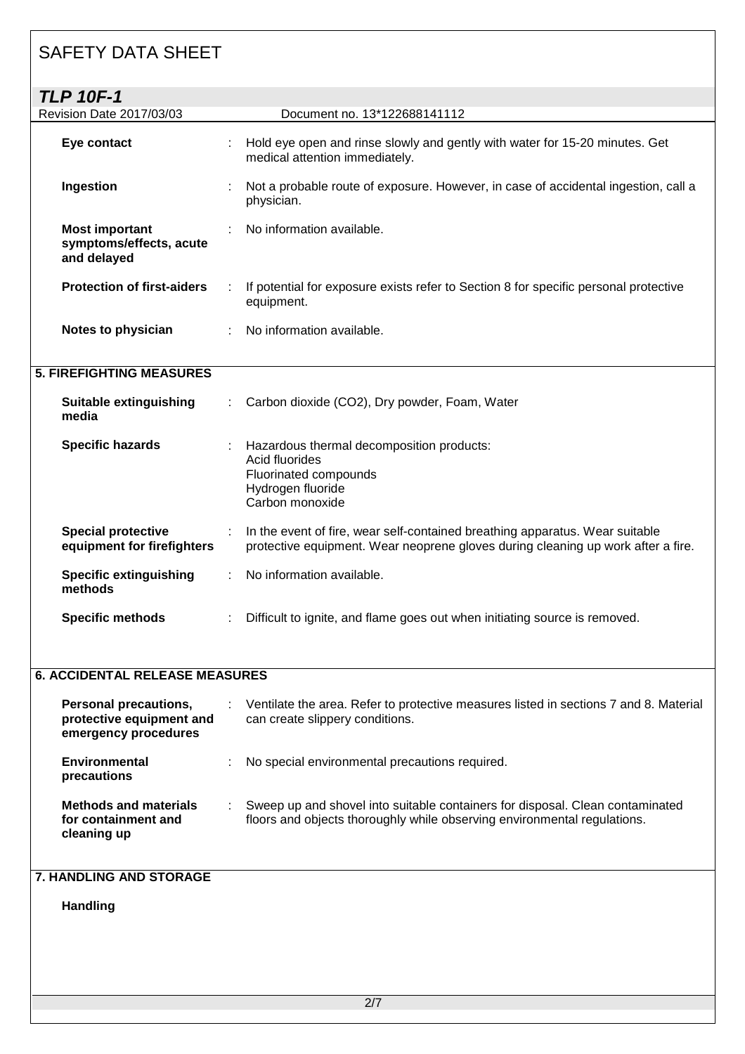| <b>TLP 10F-1</b>                                                                 |   |                                                                                                                                                                  |
|----------------------------------------------------------------------------------|---|------------------------------------------------------------------------------------------------------------------------------------------------------------------|
| Revision Date 2017/03/03                                                         |   | Document no. 13*122688141112                                                                                                                                     |
| Eye contact                                                                      |   | Hold eye open and rinse slowly and gently with water for 15-20 minutes. Get<br>medical attention immediately.                                                    |
| Ingestion                                                                        |   | Not a probable route of exposure. However, in case of accidental ingestion, call a<br>physician.                                                                 |
| <b>Most important</b><br>symptoms/effects, acute<br>and delayed                  |   | No information available.                                                                                                                                        |
| <b>Protection of first-aiders</b>                                                |   | If potential for exposure exists refer to Section 8 for specific personal protective<br>equipment.                                                               |
| Notes to physician                                                               |   | No information available.                                                                                                                                        |
| <b>5. FIREFIGHTING MEASURES</b>                                                  |   |                                                                                                                                                                  |
| Suitable extinguishing<br>media                                                  |   | Carbon dioxide (CO2), Dry powder, Foam, Water                                                                                                                    |
| <b>Specific hazards</b>                                                          |   | Hazardous thermal decomposition products:<br>Acid fluorides<br>Fluorinated compounds<br>Hydrogen fluoride<br>Carbon monoxide                                     |
| <b>Special protective</b><br>equipment for firefighters                          | ÷ | In the event of fire, wear self-contained breathing apparatus. Wear suitable<br>protective equipment. Wear neoprene gloves during cleaning up work after a fire. |
| <b>Specific extinguishing</b><br>methods                                         |   | No information available.                                                                                                                                        |
| <b>Specific methods</b>                                                          |   | Difficult to ignite, and flame goes out when initiating source is removed.                                                                                       |
| <b>6. ACCIDENTAL RELEASE MEASURES</b>                                            |   |                                                                                                                                                                  |
| <b>Personal precautions,</b><br>protective equipment and<br>emergency procedures |   | Ventilate the area. Refer to protective measures listed in sections 7 and 8. Material<br>can create slippery conditions.                                         |
| Environmental<br>precautions                                                     |   | No special environmental precautions required.                                                                                                                   |
| <b>Methods and materials</b><br>for containment and                              |   | Sweep up and shovel into suitable containers for disposal. Clean contaminated<br>floors and objects thoroughly while observing environmental regulations.        |

### **7. HANDLING AND STORAGE**

# **Handling**

**cleaning up**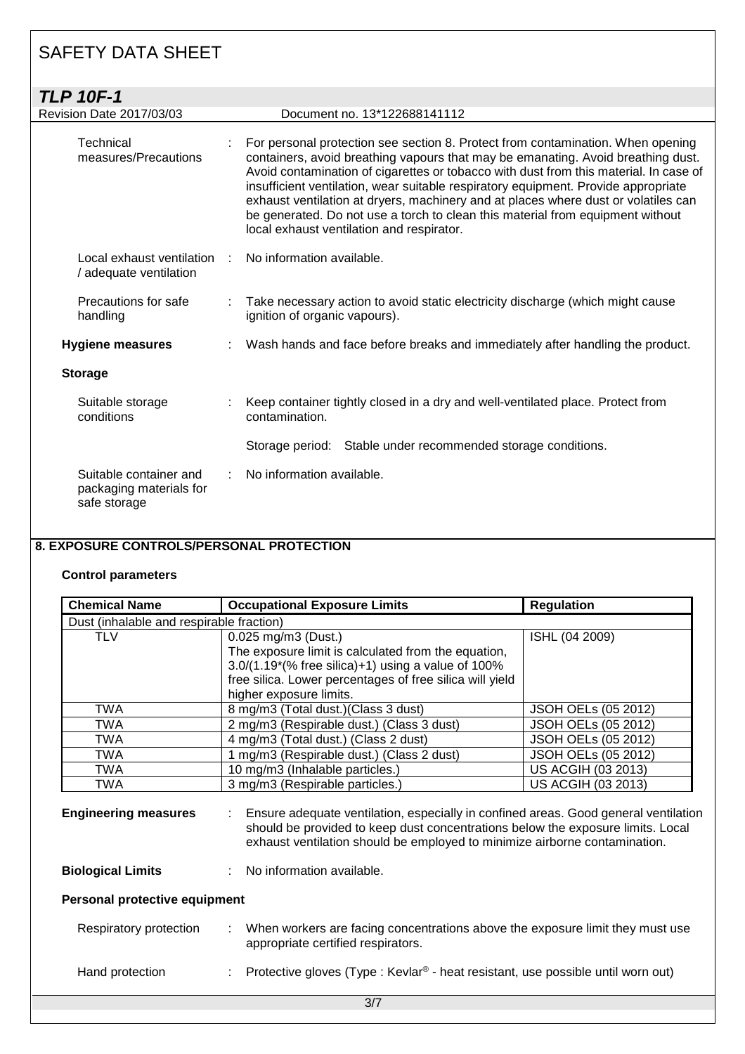| <b>TLP 10F-1</b>                                                  |                                                                                                                                                                                                                                                                                                                                                                                                                                                                                                                                                                         |
|-------------------------------------------------------------------|-------------------------------------------------------------------------------------------------------------------------------------------------------------------------------------------------------------------------------------------------------------------------------------------------------------------------------------------------------------------------------------------------------------------------------------------------------------------------------------------------------------------------------------------------------------------------|
| <b>Revision Date 2017/03/03</b>                                   | Document no. 13*122688141112                                                                                                                                                                                                                                                                                                                                                                                                                                                                                                                                            |
| Technical<br>measures/Precautions                                 | For personal protection see section 8. Protect from contamination. When opening<br>containers, avoid breathing vapours that may be emanating. Avoid breathing dust.<br>Avoid contamination of cigarettes or tobacco with dust from this material. In case of<br>insufficient ventilation, wear suitable respiratory equipment. Provide appropriate<br>exhaust ventilation at dryers, machinery and at places where dust or volatiles can<br>be generated. Do not use a torch to clean this material from equipment without<br>local exhaust ventilation and respirator. |
| Local exhaust ventilation<br>/ adequate ventilation               | No information available.                                                                                                                                                                                                                                                                                                                                                                                                                                                                                                                                               |
| Precautions for safe<br>handling                                  | Take necessary action to avoid static electricity discharge (which might cause<br>ignition of organic vapours).                                                                                                                                                                                                                                                                                                                                                                                                                                                         |
| <b>Hygiene measures</b>                                           | Wash hands and face before breaks and immediately after handling the product.                                                                                                                                                                                                                                                                                                                                                                                                                                                                                           |
| <b>Storage</b>                                                    |                                                                                                                                                                                                                                                                                                                                                                                                                                                                                                                                                                         |
| Suitable storage<br>conditions                                    | Keep container tightly closed in a dry and well-ventilated place. Protect from<br>contamination.                                                                                                                                                                                                                                                                                                                                                                                                                                                                        |
|                                                                   | Storage period: Stable under recommended storage conditions.                                                                                                                                                                                                                                                                                                                                                                                                                                                                                                            |
| Suitable container and<br>packaging materials for<br>safe storage | No information available.                                                                                                                                                                                                                                                                                                                                                                                                                                                                                                                                               |

### **8. EXPOSURE CONTROLS/PERSONAL PROTECTION**

### **Control parameters**

| <b>Chemical Name</b>                     | <b>Occupational Exposure Limits</b>                                                                                                                                                                                                                        | <b>Regulation</b>          |  |  |
|------------------------------------------|------------------------------------------------------------------------------------------------------------------------------------------------------------------------------------------------------------------------------------------------------------|----------------------------|--|--|
| Dust (inhalable and respirable fraction) |                                                                                                                                                                                                                                                            |                            |  |  |
| <b>TLV</b>                               | 0.025 mg/m3 (Dust.)                                                                                                                                                                                                                                        | ISHL (04 2009)             |  |  |
|                                          | The exposure limit is calculated from the equation,                                                                                                                                                                                                        |                            |  |  |
|                                          | $3.0/(1.19*(\% \text{ free silica})+1)$ using a value of 100%                                                                                                                                                                                              |                            |  |  |
|                                          | free silica. Lower percentages of free silica will yield                                                                                                                                                                                                   |                            |  |  |
|                                          | higher exposure limits.                                                                                                                                                                                                                                    |                            |  |  |
| TWA                                      | 8 mg/m3 (Total dust.) (Class 3 dust)                                                                                                                                                                                                                       | <b>JSOH OELs (05 2012)</b> |  |  |
| TWA                                      | 2 mg/m3 (Respirable dust.) (Class 3 dust)                                                                                                                                                                                                                  | <b>JSOH OELs (05 2012)</b> |  |  |
| TWA                                      | 4 mg/m3 (Total dust.) (Class 2 dust)                                                                                                                                                                                                                       | <b>JSOH OELs (05 2012)</b> |  |  |
| TWA                                      | 1 mg/m3 (Respirable dust.) (Class 2 dust)                                                                                                                                                                                                                  | <b>JSOH OELs (05 2012)</b> |  |  |
| <b>TWA</b>                               | 10 mg/m3 (Inhalable particles.)                                                                                                                                                                                                                            | US ACGIH (03 2013)         |  |  |
| TWA                                      | 3 mg/m3 (Respirable particles.)                                                                                                                                                                                                                            | US ACGIH (03 2013)         |  |  |
| <b>Engineering measures</b>              | Ensure adequate ventilation, especially in confined areas. Good general ventilation<br>÷.<br>should be provided to keep dust concentrations below the exposure limits. Local<br>exhaust ventilation should be employed to minimize airborne contamination. |                            |  |  |
| <b>Biological Limits</b>                 | : No information available.                                                                                                                                                                                                                                |                            |  |  |
| Personal protective equipment            |                                                                                                                                                                                                                                                            |                            |  |  |
| Respiratory protection                   | : When workers are facing concentrations above the exposure limit they must use<br>appropriate certified respirators.                                                                                                                                      |                            |  |  |
| Hand protection                          | Protective gloves (Type : Kevlar <sup>®</sup> - heat resistant, use possible until worn out)                                                                                                                                                               |                            |  |  |
|                                          | 3/7                                                                                                                                                                                                                                                        |                            |  |  |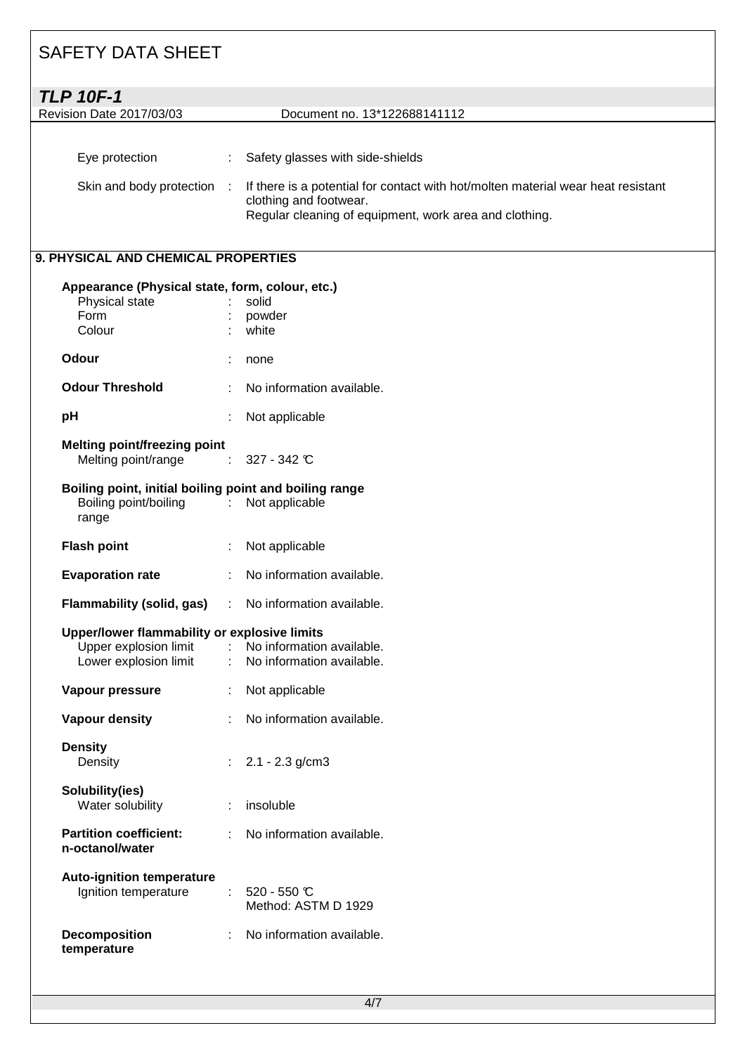| <b>TLP 10F-1</b>                           |   |                                                                                                                                                                                                          |
|--------------------------------------------|---|----------------------------------------------------------------------------------------------------------------------------------------------------------------------------------------------------------|
| <b>Revision Date 2017/03/03</b>            |   | Document no. 13*122688141112                                                                                                                                                                             |
| Eye protection<br>Skin and body protection | ÷ | Safety glasses with side-shields<br>If there is a potential for contact with hot/molten material wear heat resistant<br>clothing and footwear.<br>Regular cleaning of equipment, work area and clothing. |

### **9. PHYSICAL AND CHEMICAL PROPERTIES**

| Physical state<br>Form<br>Colour                                                                          |    | Appearance (Physical state, form, colour, etc.)<br>solid<br>powder<br>white |
|-----------------------------------------------------------------------------------------------------------|----|-----------------------------------------------------------------------------|
| Odour                                                                                                     | ÷  | none                                                                        |
| <b>Odour Threshold</b>                                                                                    | t. | No information available.                                                   |
| pH                                                                                                        |    | Not applicable                                                              |
| <b>Melting point/freezing point</b><br>Melting point/range                                                |    | 327 - 342 °C                                                                |
| Boiling point, initial boiling point and boiling range<br>Boiling point/boiling : Not applicable<br>range |    |                                                                             |
| <b>Flash point</b>                                                                                        | ÷. | Not applicable                                                              |
| <b>Evaporation rate</b>                                                                                   |    | No information available.                                                   |
| Flammability (solid, gas) : No information available.                                                     |    |                                                                             |
| Upper/lower flammability or explosive limits<br>Upper explosion limit<br>Lower explosion limit            |    | : No information available.<br>: No information available.                  |
|                                                                                                           |    |                                                                             |
| Vapour pressure                                                                                           | t. | Not applicable                                                              |
| <b>Vapour density</b>                                                                                     |    | No information available.                                                   |
| <b>Density</b><br>Density                                                                                 |    | $2.1 - 2.3$ g/cm3                                                           |
| Solubility(ies)<br>Water solubility                                                                       | t. | insoluble                                                                   |
| <b>Partition coefficient:</b><br>n-octanol/water                                                          | t. | No information available.                                                   |
| <b>Auto-ignition temperature</b><br>Ignition temperature                                                  |    | $520 - 550$ °C<br>Method: ASTM D 1929                                       |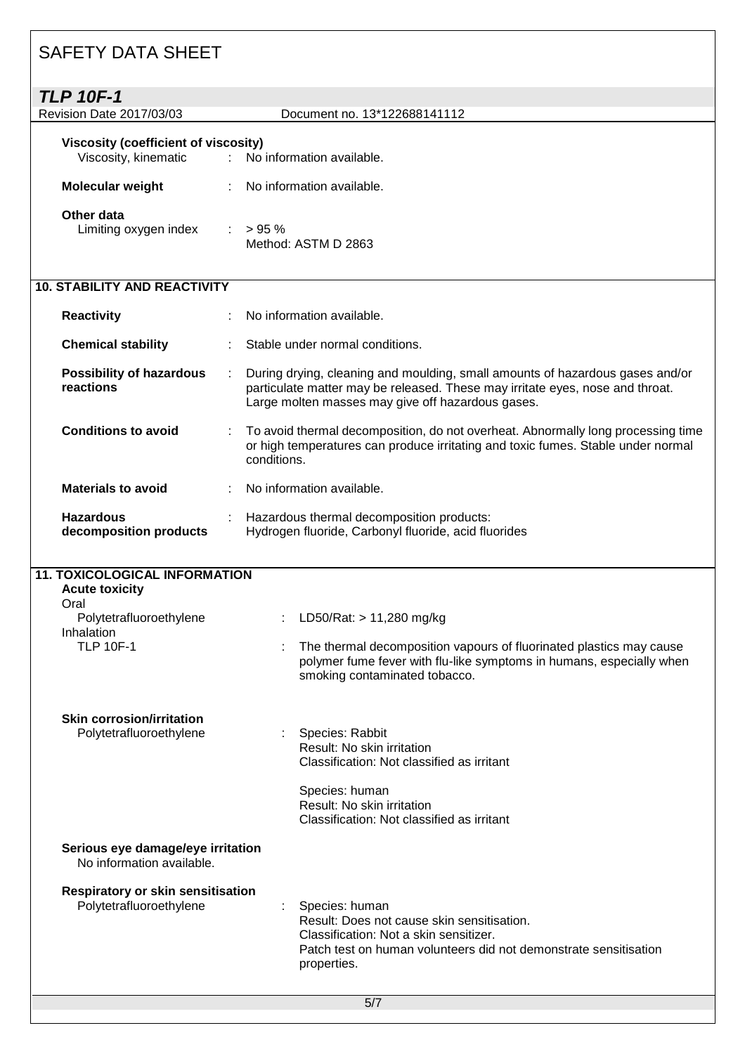| <b>SAFETY DATA SHEET</b>                                                                                                           |                                                                                                                                                                                                                     |
|------------------------------------------------------------------------------------------------------------------------------------|---------------------------------------------------------------------------------------------------------------------------------------------------------------------------------------------------------------------|
| <b>TLP 10F-1</b>                                                                                                                   |                                                                                                                                                                                                                     |
| Revision Date 2017/03/03                                                                                                           | Document no. 13*122688141112                                                                                                                                                                                        |
| <b>Viscosity (coefficient of viscosity)</b><br>Viscosity, kinematic<br>t.                                                          | No information available.                                                                                                                                                                                           |
| Molecular weight                                                                                                                   | No information available.                                                                                                                                                                                           |
| Other data<br>Limiting oxygen index                                                                                                | $: 95\%$<br>Method: ASTM D 2863                                                                                                                                                                                     |
| <b>10. STABILITY AND REACTIVITY</b>                                                                                                |                                                                                                                                                                                                                     |
| <b>Reactivity</b>                                                                                                                  | No information available.                                                                                                                                                                                           |
| <b>Chemical stability</b>                                                                                                          | Stable under normal conditions.                                                                                                                                                                                     |
| <b>Possibility of hazardous</b><br>reactions                                                                                       | During drying, cleaning and moulding, small amounts of hazardous gases and/or<br>particulate matter may be released. These may irritate eyes, nose and throat.<br>Large molten masses may give off hazardous gases. |
| <b>Conditions to avoid</b>                                                                                                         | To avoid thermal decomposition, do not overheat. Abnormally long processing time<br>or high temperatures can produce irritating and toxic fumes. Stable under normal<br>conditions.                                 |
| <b>Materials to avoid</b>                                                                                                          | No information available.                                                                                                                                                                                           |
| <b>Hazardous</b><br>decomposition products                                                                                         | Hazardous thermal decomposition products:<br>Hydrogen fluoride, Carbonyl fluoride, acid fluorides                                                                                                                   |
| <b>11. TOXICOLOGICAL INFORMATION</b><br><b>Acute toxicity</b><br>Oral<br>Polytetrafluoroethylene<br>Inhalation<br><b>TLP 10F-1</b> | LD50/Rat: > 11,280 mg/kg<br>The thermal decomposition vapours of fluorinated plastics may cause<br>polymer fume fever with flu-like symptoms in humans, especially when<br>smoking contaminated tobacco.            |
| <b>Skin corrosion/irritation</b><br>Polytetrafluoroethylene                                                                        | Species: Rabbit<br>Result: No skin irritation<br>Classification: Not classified as irritant<br>Species: human<br>Result: No skin irritation<br>Classification: Not classified as irritant                           |
| Serious eye damage/eye irritation<br>No information available.                                                                     |                                                                                                                                                                                                                     |
| Respiratory or skin sensitisation<br>Polytetrafluoroethylene                                                                       | Species: human<br>Result: Does not cause skin sensitisation.<br>Classification: Not a skin sensitizer.<br>Patch test on human volunteers did not demonstrate sensitisation<br>properties.                           |

 $\overline{\phantom{a}}$ 

٦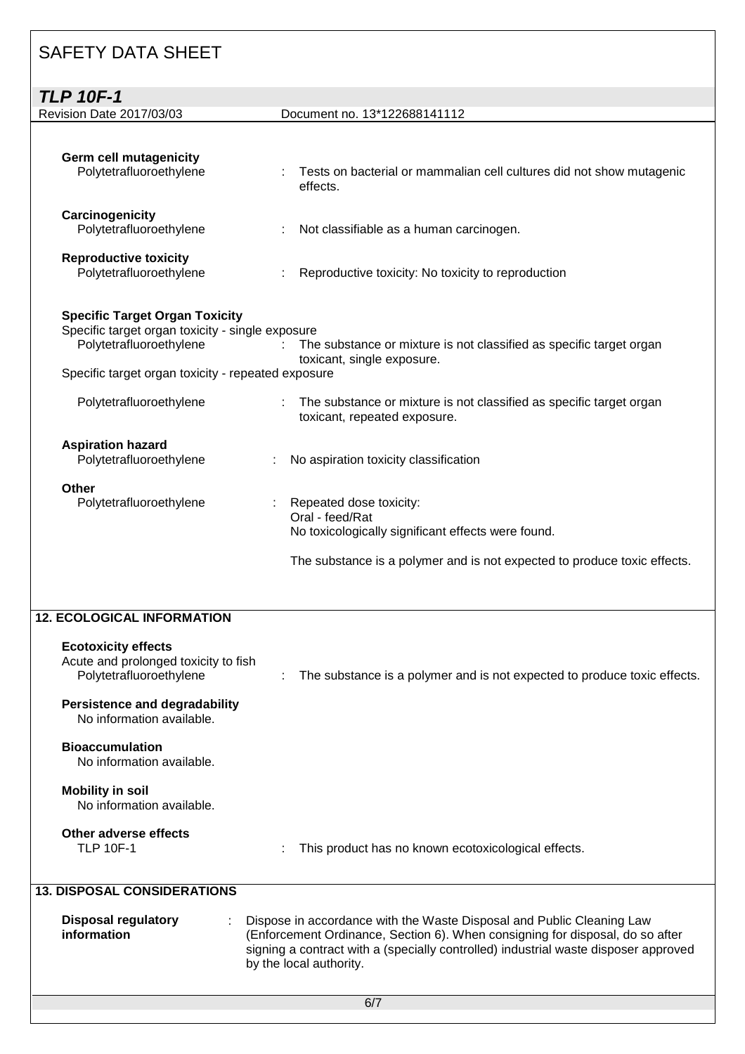| <b>TLP 10F-1</b>                                                                                                                                                           |                                                                                                                                                                              |
|----------------------------------------------------------------------------------------------------------------------------------------------------------------------------|------------------------------------------------------------------------------------------------------------------------------------------------------------------------------|
| Revision Date 2017/03/03                                                                                                                                                   | Document no. 13*122688141112                                                                                                                                                 |
| <b>Germ cell mutagenicity</b><br>Polytetrafluoroethylene                                                                                                                   | Tests on bacterial or mammalian cell cultures did not show mutagenic<br>effects.                                                                                             |
| Carcinogenicity<br>Polytetrafluoroethylene                                                                                                                                 | Not classifiable as a human carcinogen.                                                                                                                                      |
| <b>Reproductive toxicity</b><br>Polytetrafluoroethylene                                                                                                                    | Reproductive toxicity: No toxicity to reproduction                                                                                                                           |
| <b>Specific Target Organ Toxicity</b><br>Specific target organ toxicity - single exposure<br>Polytetrafluoroethylene<br>Specific target organ toxicity - repeated exposure | The substance or mixture is not classified as specific target organ<br>toxicant, single exposure.                                                                            |
| Polytetrafluoroethylene                                                                                                                                                    | The substance or mixture is not classified as specific target organ<br>toxicant, repeated exposure.                                                                          |
| <b>Aspiration hazard</b><br>Polytetrafluoroethylene                                                                                                                        | No aspiration toxicity classification                                                                                                                                        |
| <b>Other</b><br>Polytetrafluoroethylene                                                                                                                                    | Repeated dose toxicity:<br>Oral - feed/Rat<br>No toxicologically significant effects were found.<br>The substance is a polymer and is not expected to produce toxic effects. |
| <b>12. ECOLOGICAL INFORMATION</b><br><b>Ecotoxicity effects</b><br>Acute and prolonged toxicity to fish<br>Polytetrafluoroethylene                                         | The substance is a polymer and is not expected to produce toxic effects.                                                                                                     |
| <b>Persistence and degradability</b><br>No information available.<br><b>Bioaccumulation</b><br>No information available.<br><b>Mobility in soil</b>                        |                                                                                                                                                                              |
| No information available.                                                                                                                                                  |                                                                                                                                                                              |

# **Other adverse effects**

: This product has no known ecotoxicological effects.

|  | <b>13. DISPOSAL CONSIDERATIONS</b> |
|--|------------------------------------|

| Disposal regulatory | Dispose in accordance with the Waste Disposal and Public Cleaning Law               |
|---------------------|-------------------------------------------------------------------------------------|
| information         | (Enforcement Ordinance, Section 6). When consigning for disposal, do so after       |
|                     | signing a contract with a (specially controlled) industrial waste disposer approved |
|                     | by the local authority.                                                             |